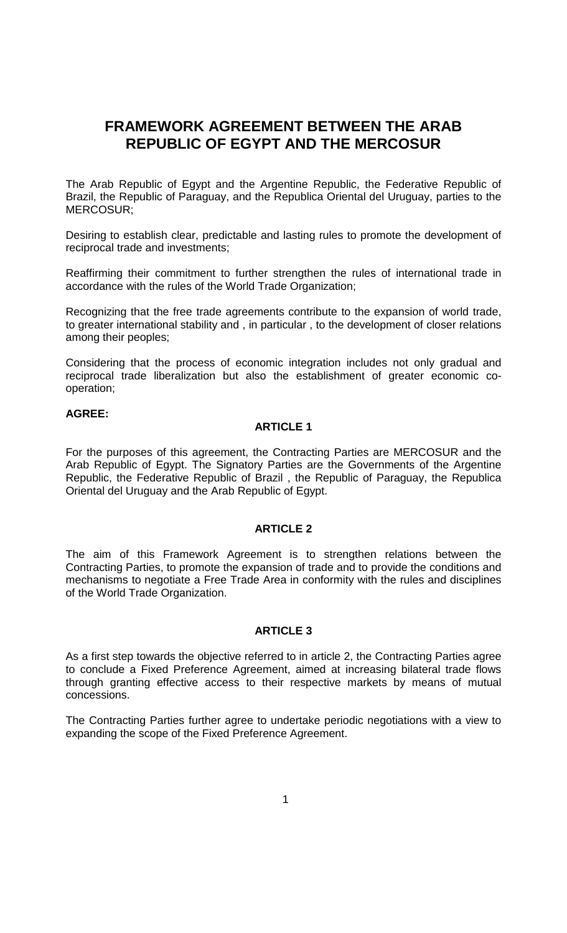# **FRAMEWORK AGREEMENT BETWEEN THE ARAB REPUBLIC OF EGYPT AND THE MERCOSUR**

The Arab Republic of Egypt and the Argentine Republic, the Federative Republic of Brazil, the Republic of Paraguay, and the Republica Oriental del Uruguay, parties to the MERCOSUR;

Desiring to establish clear, predictable and lasting rules to promote the development of reciprocal trade and investments;

Reaffirming their commitment to further strengthen the rules of international trade in accordance with the rules of the World Trade Organization;

Recognizing that the free trade agreements contribute to the expansion of world trade, to greater international stability and , in particular , to the development of closer relations among their peoples;

Considering that the process of economic integration includes not only gradual and reciprocal trade liberalization but also the establishment of greater economic cooperation;

## **AGREE:**

#### **ARTICLE 1**

For the purposes of this agreement, the Contracting Parties are MERCOSUR and the Arab Republic of Egypt. The Signatory Parties are the Governments of the Argentine Republic, the Federative Republic of Brazil , the Republic of Paraguay, the Republica Oriental del Uruguay and the Arab Republic of Egypt.

### **ARTICLE 2**

The aim of this Framework Agreement is to strengthen relations between the Contracting Parties, to promote the expansion of trade and to provide the conditions and mechanisms to negotiate a Free Trade Area in conformity with the rules and disciplines of the World Trade Organization.

### **ARTICLE 3**

As a first step towards the objective referred to in article 2, the Contracting Parties agree to conclude a Fixed Preference Agreement, aimed at increasing bilateral trade flows through granting effective access to their respective markets by means of mutual concessions.

The Contracting Parties further agree to undertake periodic negotiations with a view to expanding the scope of the Fixed Preference Agreement.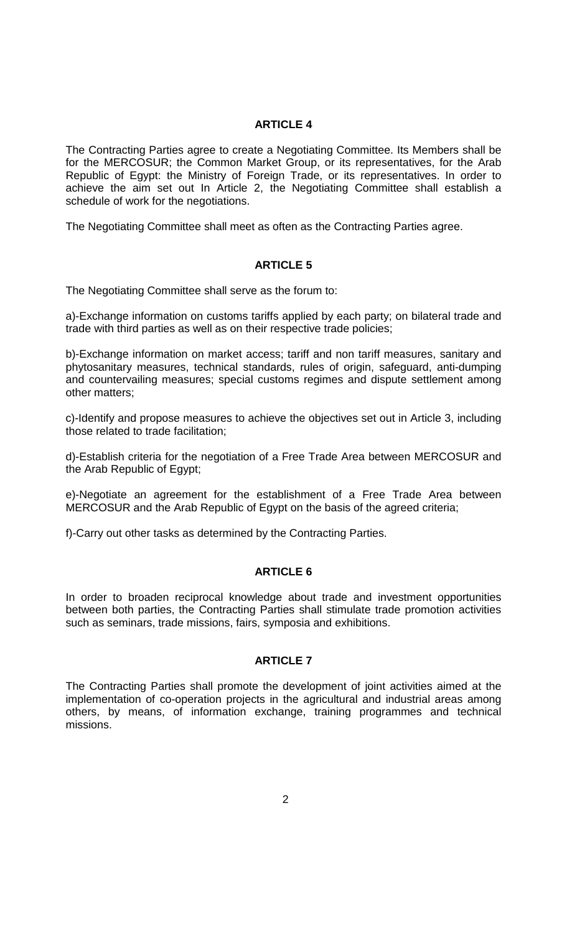# **ARTICLE 4**

The Contracting Parties agree to create a Negotiating Committee. Its Members shall be for the MERCOSUR; the Common Market Group, or its representatives, for the Arab Republic of Egypt: the Ministry of Foreign Trade, or its representatives. In order to achieve the aim set out In Article 2, the Negotiating Committee shall establish a schedule of work for the negotiations.

The Negotiating Committee shall meet as often as the Contracting Parties agree.

#### **ARTICLE 5**

The Negotiating Committee shall serve as the forum to:

a)-Exchange information on customs tariffs applied by each party; on bilateral trade and trade with third parties as well as on their respective trade policies;

b)-Exchange information on market access; tariff and non tariff measures, sanitary and phytosanitary measures, technical standards, rules of origin, safeguard, anti-dumping and countervailing measures; special customs regimes and dispute settlement among other matters;

c)-Identify and propose measures to achieve the objectives set out in Article 3, including those related to trade facilitation;

d)-Establish criteria for the negotiation of a Free Trade Area between MERCOSUR and the Arab Republic of Egypt;

e)-Negotiate an agreement for the establishment of a Free Trade Area between MERCOSUR and the Arab Republic of Egypt on the basis of the agreed criteria;

f)-Carry out other tasks as determined by the Contracting Parties.

## **ARTICLE 6**

In order to broaden reciprocal knowledge about trade and investment opportunities between both parties, the Contracting Parties shall stimulate trade promotion activities such as seminars, trade missions, fairs, symposia and exhibitions.

## **ARTICLE 7**

The Contracting Parties shall promote the development of joint activities aimed at the implementation of co-operation projects in the agricultural and industrial areas among others, by means, of information exchange, training programmes and technical missions.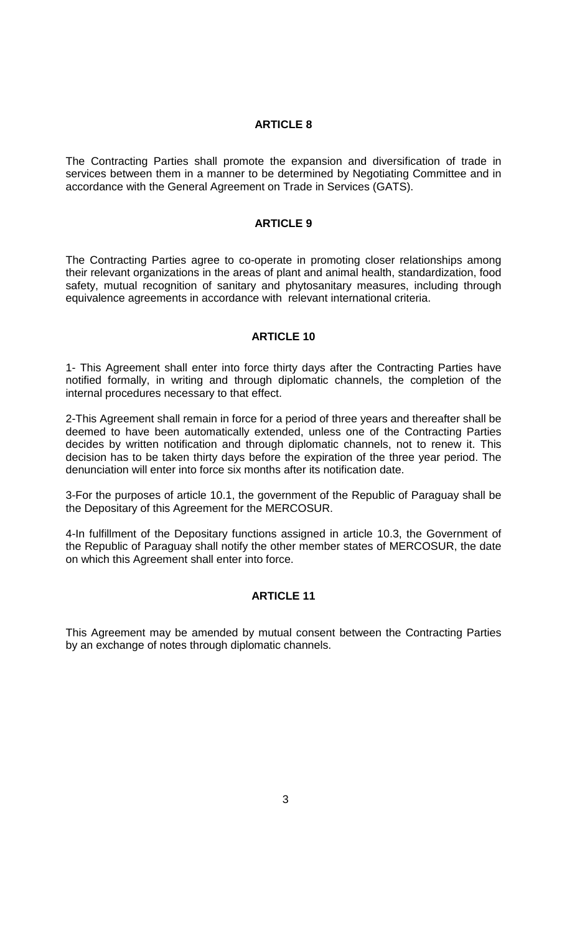## **ARTICLE 8**

The Contracting Parties shall promote the expansion and diversification of trade in services between them in a manner to be determined by Negotiating Committee and in accordance with the General Agreement on Trade in Services (GATS).

## **ARTICLE 9**

The Contracting Parties agree to co-operate in promoting closer relationships among their relevant organizations in the areas of plant and animal health, standardization, food safety, mutual recognition of sanitary and phytosanitary measures, including through equivalence agreements in accordance with relevant international criteria.

#### **ARTICLE 10**

1- This Agreement shall enter into force thirty days after the Contracting Parties have notified formally, in writing and through diplomatic channels, the completion of the internal procedures necessary to that effect.

2-This Agreement shall remain in force for a period of three years and thereafter shall be deemed to have been automatically extended, unless one of the Contracting Parties decides by written notification and through diplomatic channels, not to renew it. This decision has to be taken thirty days before the expiration of the three year period. The denunciation will enter into force six months after its notification date.

3-For the purposes of article 10.1, the government of the Republic of Paraguay shall be the Depositary of this Agreement for the MERCOSUR.

4-In fulfillment of the Depositary functions assigned in article 10.3, the Government of the Republic of Paraguay shall notify the other member states of MERCOSUR, the date on which this Agreement shall enter into force.

# **ARTICLE 11**

This Agreement may be amended by mutual consent between the Contracting Parties by an exchange of notes through diplomatic channels.